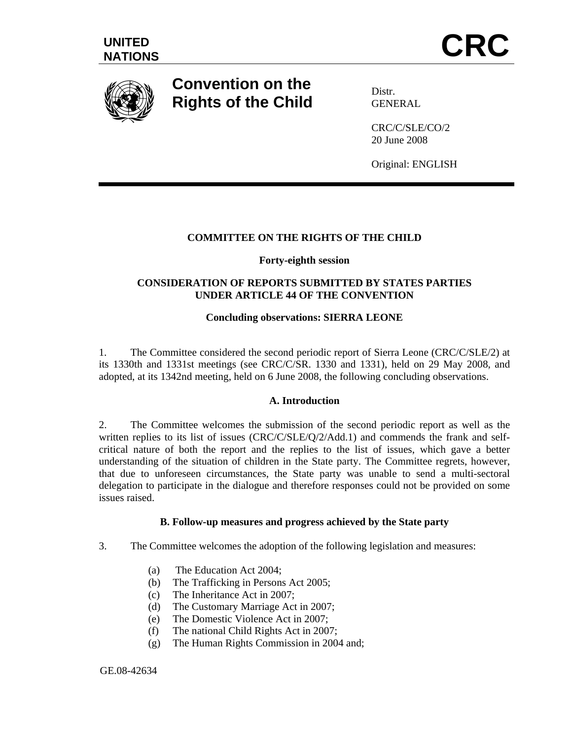

# **Convention on the Rights of the Child**

Distr. GENERAL

CRC/C/SLE/CO/2 20 June 2008

Original: ENGLISH

# **COMMITTEE ON THE RIGHTS OF THE CHILD**

## **Forty-eighth session**

# **CONSIDERATION OF REPORTS SUBMITTED BY STATES PARTIES UNDER ARTICLE 44 OF THE CONVENTION**

# **Concluding observations: SIERRA LEONE**

1. The Committee considered the second periodic report of Sierra Leone (CRC/C/SLE/2) at its 1330th and 1331st meetings (see CRC/C/SR. 1330 and 1331), held on 29 May 2008, and adopted, at its 1342nd meeting, held on 6 June 2008, the following concluding observations.

#### **A. Introduction**

2. The Committee welcomes the submission of the second periodic report as well as the written replies to its list of issues (CRC/C/SLE/Q/2/Add.1) and commends the frank and selfcritical nature of both the report and the replies to the list of issues, which gave a better understanding of the situation of children in the State party. The Committee regrets, however, that due to unforeseen circumstances, the State party was unable to send a multi-sectoral delegation to participate in the dialogue and therefore responses could not be provided on some issues raised.

#### **B. Follow-up measures and progress achieved by the State party**

- 3. The Committee welcomes the adoption of the following legislation and measures:
	- (a) The Education Act 2004;
	- (b) The Trafficking in Persons Act 2005;
	- (c) The Inheritance Act in 2007;
	- (d) The Customary Marriage Act in 2007;
	- (e) The Domestic Violence Act in 2007;
	- (f) The national Child Rights Act in 2007;
	- (g) The Human Rights Commission in 2004 and;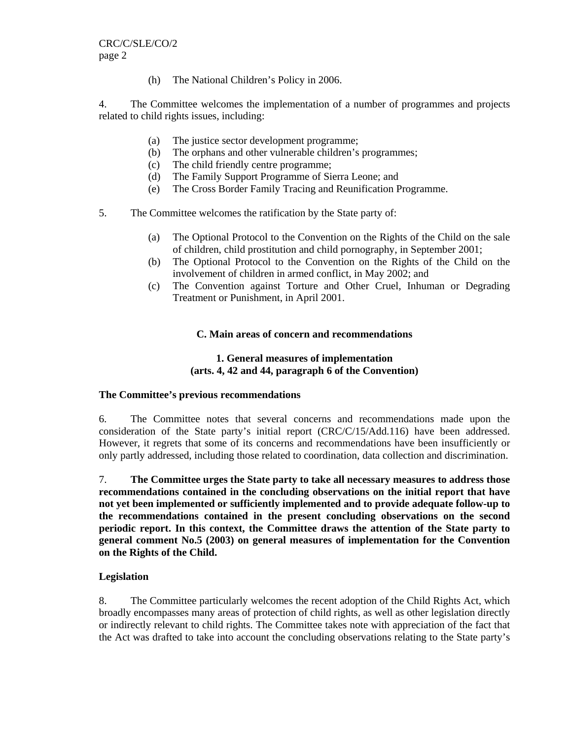(h) The National Children's Policy in 2006.

4. The Committee welcomes the implementation of a number of programmes and projects related to child rights issues, including:

- (a) The justice sector development programme;
- (b) The orphans and other vulnerable children's programmes;
- (c) The child friendly centre programme;
- (d) The Family Support Programme of Sierra Leone; and
- (e) The Cross Border Family Tracing and Reunification Programme.
- 5. The Committee welcomes the ratification by the State party of:
	- (a) The Optional Protocol to the Convention on the Rights of the Child on the sale of children, child prostitution and child pornography, in September 2001;
	- (b) The Optional Protocol to the Convention on the Rights of the Child on the involvement of children in armed conflict, in May 2002; and
	- (c) The Convention against Torture and Other Cruel, Inhuman or Degrading Treatment or Punishment, in April 2001.

## **C. Main areas of concern and recommendations**

## **1. General measures of implementation (arts. 4, 42 and 44, paragraph 6 of the Convention)**

#### **The Committee's previous recommendations**

6. The Committee notes that several concerns and recommendations made upon the consideration of the State party's initial report (CRC/C/15/Add.116) have been addressed. However, it regrets that some of its concerns and recommendations have been insufficiently or only partly addressed, including those related to coordination, data collection and discrimination.

7. **The Committee urges the State party to take all necessary measures to address those recommendations contained in the concluding observations on the initial report that have not yet been implemented or sufficiently implemented and to provide adequate follow-up to the recommendations contained in the present concluding observations on the second periodic report. In this context, the Committee draws the attention of the State party to general comment No.5 (2003) on general measures of implementation for the Convention on the Rights of the Child.** 

# **Legislation**

8. The Committee particularly welcomes the recent adoption of the Child Rights Act, which broadly encompasses many areas of protection of child rights, as well as other legislation directly or indirectly relevant to child rights. The Committee takes note with appreciation of the fact that the Act was drafted to take into account the concluding observations relating to the State party's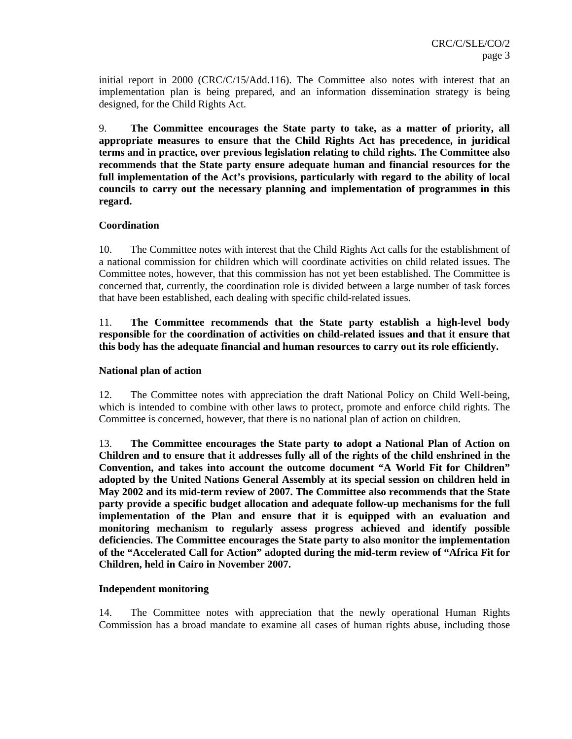initial report in 2000 (CRC/C/15/Add.116). The Committee also notes with interest that an implementation plan is being prepared, and an information dissemination strategy is being designed, for the Child Rights Act.

9. **The Committee encourages the State party to take, as a matter of priority, all appropriate measures to ensure that the Child Rights Act has precedence, in juridical terms and in practice, over previous legislation relating to child rights. The Committee also recommends that the State party ensure adequate human and financial resources for the full implementation of the Act's provisions, particularly with regard to the ability of local councils to carry out the necessary planning and implementation of programmes in this regard.** 

## **Coordination**

10. The Committee notes with interest that the Child Rights Act calls for the establishment of a national commission for children which will coordinate activities on child related issues. The Committee notes, however, that this commission has not yet been established. The Committee is concerned that, currently, the coordination role is divided between a large number of task forces that have been established, each dealing with specific child-related issues.

11. **The Committee recommends that the State party establish a high-level body responsible for the coordination of activities on child-related issues and that it ensure that this body has the adequate financial and human resources to carry out its role efficiently.** 

#### **National plan of action**

12. The Committee notes with appreciation the draft National Policy on Child Well-being, which is intended to combine with other laws to protect, promote and enforce child rights. The Committee is concerned, however, that there is no national plan of action on children.

13. **The Committee encourages the State party to adopt a National Plan of Action on Children and to ensure that it addresses fully all of the rights of the child enshrined in the Convention, and takes into account the outcome document "A World Fit for Children" adopted by the United Nations General Assembly at its special session on children held in May 2002 and its mid-term review of 2007. The Committee also recommends that the State party provide a specific budget allocation and adequate follow-up mechanisms for the full implementation of the Plan and ensure that it is equipped with an evaluation and monitoring mechanism to regularly assess progress achieved and identify possible deficiencies. The Committee encourages the State party to also monitor the implementation of the "Accelerated Call for Action" adopted during the mid-term review of "Africa Fit for Children, held in Cairo in November 2007.** 

#### **Independent monitoring**

14. The Committee notes with appreciation that the newly operational Human Rights Commission has a broad mandate to examine all cases of human rights abuse, including those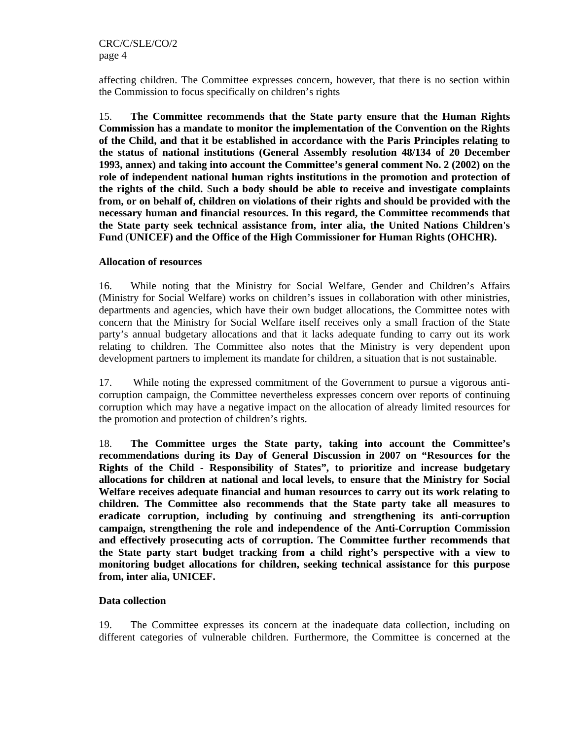affecting children. The Committee expresses concern, however, that there is no section within the Commission to focus specifically on children's rights

15. **The Committee recommends that the State party ensure that the Human Rights Commission has a mandate to monitor the implementation of the Convention on the Rights of the Child, and that it be established in accordance with the Paris Principles relating to the status of national institutions (General Assembly resolution 48/134 of 20 December 1993, annex) and taking into account the Committee's general comment No. 2 (2002) on** t**he role of independent national human rights institutions in the promotion and protection of the rights of the child.** S**uch a body should be able to receive and investigate complaints from, or on behalf of, children on violations of their rights and should be provided with the necessary human and financial resources. In this regard, the Committee recommends that the State party seek technical assistance from, inter alia, the United Nations Children's Fund** (**UNICEF) and the Office of the High Commissioner for Human Rights (OHCHR).** 

#### **Allocation of resources**

16. While noting that the Ministry for Social Welfare, Gender and Children's Affairs (Ministry for Social Welfare) works on children's issues in collaboration with other ministries, departments and agencies, which have their own budget allocations, the Committee notes with concern that the Ministry for Social Welfare itself receives only a small fraction of the State party's annual budgetary allocations and that it lacks adequate funding to carry out its work relating to children. The Committee also notes that the Ministry is very dependent upon development partners to implement its mandate for children, a situation that is not sustainable.

17. While noting the expressed commitment of the Government to pursue a vigorous anticorruption campaign, the Committee nevertheless expresses concern over reports of continuing corruption which may have a negative impact on the allocation of already limited resources for the promotion and protection of children's rights.

18. **The Committee urges the State party, taking into account the Committee's recommendations during its Day of General Discussion in 2007 on "Resources for the Rights of the Child - Responsibility of States", to prioritize and increase budgetary allocations for children at national and local levels, to ensure that the Ministry for Social Welfare receives adequate financial and human resources to carry out its work relating to children. The Committee also recommends that the State party take all measures to eradicate corruption, including by continuing and strengthening its anti-corruption campaign, strengthening the role and independence of the Anti-Corruption Commission and effectively prosecuting acts of corruption. The Committee further recommends that the State party start budget tracking from a child right's perspective with a view to monitoring budget allocations for children, seeking technical assistance for this purpose from, inter alia, UNICEF.** 

#### **Data collection**

19. The Committee expresses its concern at the inadequate data collection, including on different categories of vulnerable children. Furthermore, the Committee is concerned at the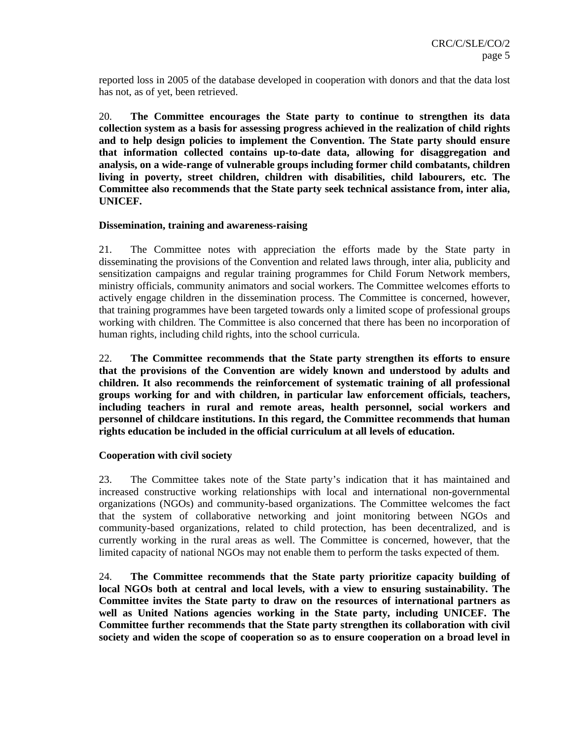reported loss in 2005 of the database developed in cooperation with donors and that the data lost has not, as of yet, been retrieved.

20. **The Committee encourages the State party to continue to strengthen its data collection system as a basis for assessing progress achieved in the realization of child rights and to help design policies to implement the Convention. The State party should ensure that information collected contains up-to-date data, allowing for disaggregation and analysis, on a wide-range of vulnerable groups including former child combatants, children living in poverty, street children, children with disabilities, child labourers, etc. The Committee also recommends that the State party seek technical assistance from, inter alia, UNICEF.** 

#### **Dissemination, training and awareness-raising**

21. The Committee notes with appreciation the efforts made by the State party in disseminating the provisions of the Convention and related laws through, inter alia, publicity and sensitization campaigns and regular training programmes for Child Forum Network members, ministry officials, community animators and social workers. The Committee welcomes efforts to actively engage children in the dissemination process. The Committee is concerned, however, that training programmes have been targeted towards only a limited scope of professional groups working with children. The Committee is also concerned that there has been no incorporation of human rights, including child rights, into the school curricula.

22. **The Committee recommends that the State party strengthen its efforts to ensure that the provisions of the Convention are widely known and understood by adults and children. It also recommends the reinforcement of systematic training of all professional groups working for and with children, in particular law enforcement officials, teachers, including teachers in rural and remote areas, health personnel, social workers and personnel of childcare institutions. In this regard, the Committee recommends that human rights education be included in the official curriculum at all levels of education.** 

#### **Cooperation with civil society**

23. The Committee takes note of the State party's indication that it has maintained and increased constructive working relationships with local and international non-governmental organizations (NGOs) and community-based organizations. The Committee welcomes the fact that the system of collaborative networking and joint monitoring between NGOs and community-based organizations, related to child protection, has been decentralized, and is currently working in the rural areas as well. The Committee is concerned, however, that the limited capacity of national NGOs may not enable them to perform the tasks expected of them.

24. **The Committee recommends that the State party prioritize capacity building of local NGOs both at central and local levels, with a view to ensuring sustainability. The Committee invites the State party to draw on the resources of international partners as well as United Nations agencies working in the State party, including UNICEF. The Committee further recommends that the State party strengthen its collaboration with civil society and widen the scope of cooperation so as to ensure cooperation on a broad level in**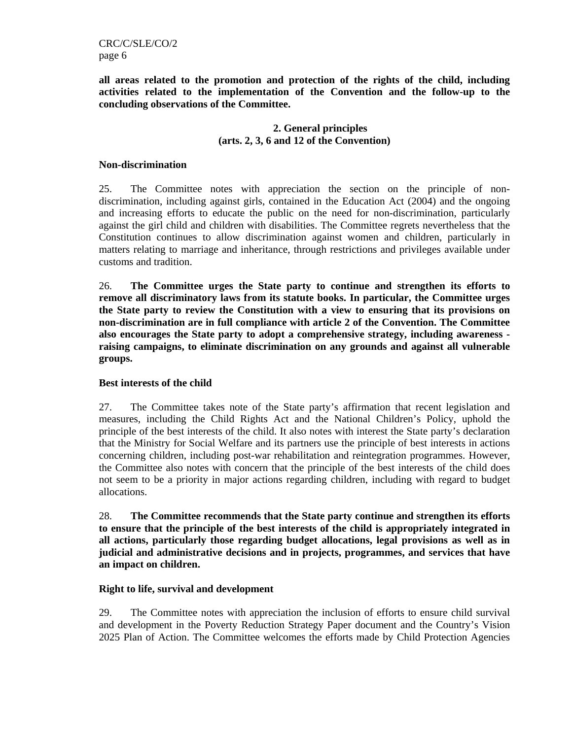CRC/C/SLE/CO/2 page 6

**all areas related to the promotion and protection of the rights of the child, including activities related to the implementation of the Convention and the follow-up to the concluding observations of the Committee.** 

## **2. General principles (arts. 2, 3, 6 and 12 of the Convention)**

#### **Non-discrimination**

25. The Committee notes with appreciation the section on the principle of nondiscrimination, including against girls, contained in the Education Act (2004) and the ongoing and increasing efforts to educate the public on the need for non-discrimination, particularly against the girl child and children with disabilities. The Committee regrets nevertheless that the Constitution continues to allow discrimination against women and children, particularly in matters relating to marriage and inheritance, through restrictions and privileges available under customs and tradition.

26. **The Committee urges the State party to continue and strengthen its efforts to remove all discriminatory laws from its statute books. In particular, the Committee urges the State party to review the Constitution with a view to ensuring that its provisions on non-discrimination are in full compliance with article 2 of the Convention. The Committee also encourages the State party to adopt a comprehensive strategy, including awareness raising campaigns, to eliminate discrimination on any grounds and against all vulnerable groups.** 

#### **Best interests of the child**

27. The Committee takes note of the State party's affirmation that recent legislation and measures, including the Child Rights Act and the National Children's Policy, uphold the principle of the best interests of the child. It also notes with interest the State party's declaration that the Ministry for Social Welfare and its partners use the principle of best interests in actions concerning children, including post-war rehabilitation and reintegration programmes. However, the Committee also notes with concern that the principle of the best interests of the child does not seem to be a priority in major actions regarding children, including with regard to budget allocations.

28. **The Committee recommends that the State party continue and strengthen its efforts to ensure that the principle of the best interests of the child is appropriately integrated in all actions, particularly those regarding budget allocations, legal provisions as well as in judicial and administrative decisions and in projects, programmes, and services that have an impact on children.** 

#### **Right to life, survival and development**

29. The Committee notes with appreciation the inclusion of efforts to ensure child survival and development in the Poverty Reduction Strategy Paper document and the Country's Vision 2025 Plan of Action. The Committee welcomes the efforts made by Child Protection Agencies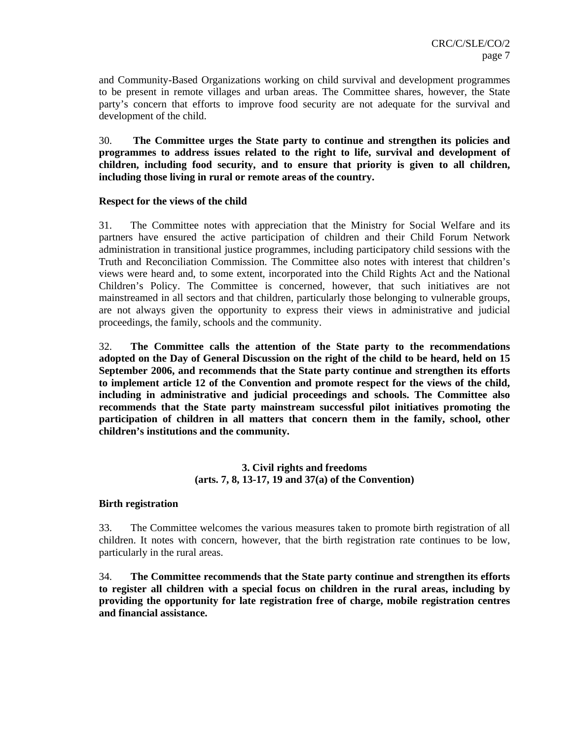and Community-Based Organizations working on child survival and development programmes to be present in remote villages and urban areas. The Committee shares, however, the State party's concern that efforts to improve food security are not adequate for the survival and development of the child.

30. **The Committee urges the State party to continue and strengthen its policies and programmes to address issues related to the right to life, survival and development of children, including food security, and to ensure that priority is given to all children, including those living in rural or remote areas of the country.** 

#### **Respect for the views of the child**

31. The Committee notes with appreciation that the Ministry for Social Welfare and its partners have ensured the active participation of children and their Child Forum Network administration in transitional justice programmes, including participatory child sessions with the Truth and Reconciliation Commission. The Committee also notes with interest that children's views were heard and, to some extent, incorporated into the Child Rights Act and the National Children's Policy. The Committee is concerned, however, that such initiatives are not mainstreamed in all sectors and that children, particularly those belonging to vulnerable groups, are not always given the opportunity to express their views in administrative and judicial proceedings, the family, schools and the community.

32. **The Committee calls the attention of the State party to the recommendations adopted on the Day of General Discussion on the right of the child to be heard, held on 15 September 2006, and recommends that the State party continue and strengthen its efforts to implement article 12 of the Convention and promote respect for the views of the child, including in administrative and judicial proceedings and schools. The Committee also recommends that the State party mainstream successful pilot initiatives promoting the participation of children in all matters that concern them in the family, school, other children's institutions and the community.** 

## **3. Civil rights and freedoms (arts. 7, 8, 13-17, 19 and 37(a) of the Convention)**

#### **Birth registration**

33. The Committee welcomes the various measures taken to promote birth registration of all children. It notes with concern, however, that the birth registration rate continues to be low, particularly in the rural areas.

34. **The Committee recommends that the State party continue and strengthen its efforts to register all children with a special focus on children in the rural areas, including by providing the opportunity for late registration free of charge, mobile registration centres and financial assistance.**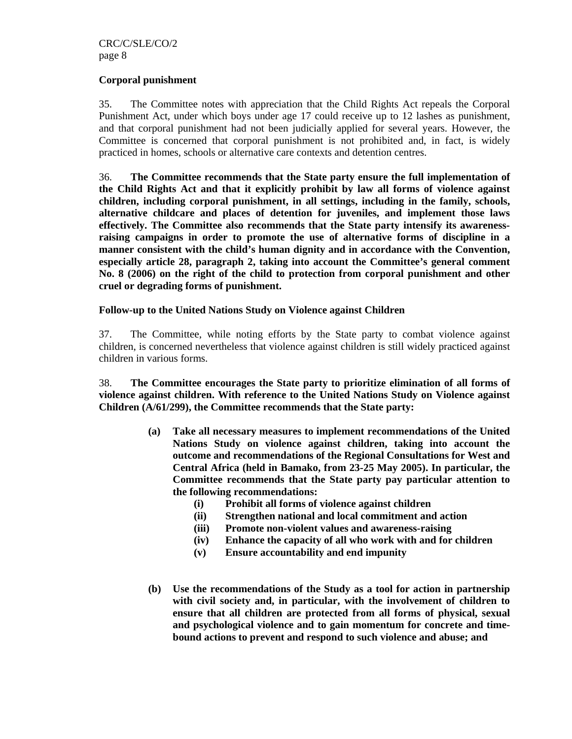#### **Corporal punishment**

35. The Committee notes with appreciation that the Child Rights Act repeals the Corporal Punishment Act, under which boys under age 17 could receive up to 12 lashes as punishment, and that corporal punishment had not been judicially applied for several years. However, the Committee is concerned that corporal punishment is not prohibited and, in fact, is widely practiced in homes, schools or alternative care contexts and detention centres.

36. **The Committee recommends that the State party ensure the full implementation of the Child Rights Act and that it explicitly prohibit by law all forms of violence against children, including corporal punishment, in all settings, including in the family, schools, alternative childcare and places of detention for juveniles, and implement those laws effectively. The Committee also recommends that the State party intensify its awarenessraising campaigns in order to promote the use of alternative forms of discipline in a manner consistent with the child's human dignity and in accordance with the Convention, especially article 28, paragraph 2, taking into account the Committee's general comment No. 8 (2006) on the right of the child to protection from corporal punishment and other cruel or degrading forms of punishment.** 

#### **Follow-up to the United Nations Study on Violence against Children**

37. The Committee, while noting efforts by the State party to combat violence against children, is concerned nevertheless that violence against children is still widely practiced against children in various forms.

38. **The Committee encourages the State party to prioritize elimination of all forms of violence against children. With reference to the United Nations Study on Violence against Children (A/61/299), the Committee recommends that the State party:** 

- **(a) Take all necessary measures to implement recommendations of the United Nations Study on violence against children, taking into account the outcome and recommendations of the Regional Consultations for West and Central Africa (held in Bamako, from 23-25 May 2005). In particular, the Committee recommends that the State party pay particular attention to the following recommendations:** 
	- **(i) Prohibit all forms of violence against children**
	- **(ii) Strengthen national and local commitment and action**
	- **(iii) Promote non-violent values and awareness-raising**
	- **(iv) Enhance the capacity of all who work with and for children**
	- **(v) Ensure accountability and end impunity**
- **(b) Use the recommendations of the Study as a tool for action in partnership with civil society and, in particular, with the involvement of children to ensure that all children are protected from all forms of physical, sexual and psychological violence and to gain momentum for concrete and timebound actions to prevent and respond to such violence and abuse; and**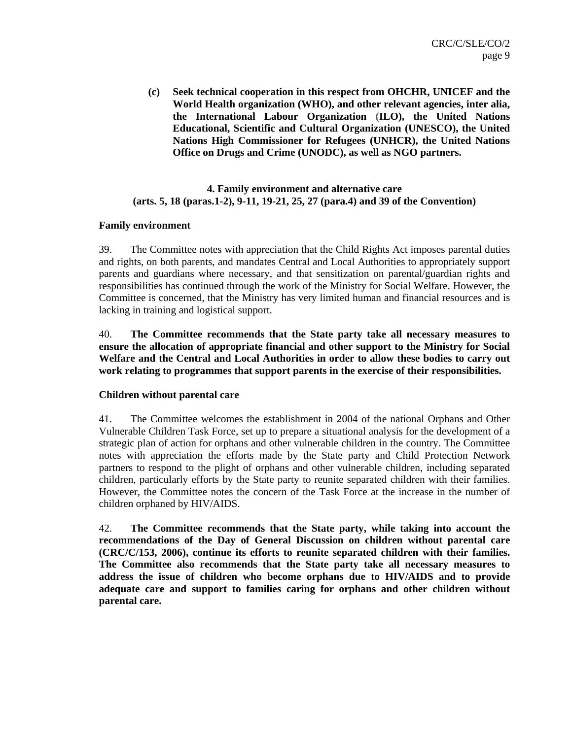**(c) Seek technical cooperation in this respect from OHCHR, UNICEF and the World Health organization (WHO), and other relevant agencies, inter alia, the International Labour Organization (ILO), the United Nations Educational, Scientific and Cultural Organization (UNESCO), the United Nations High Commissioner for Refugees (UNHCR), the United Nations Office on Drugs and Crime (UNODC), as well as NGO partners.** 

# **4. Family environment and alternative care (arts. 5, 18 (paras.1-2), 9-11, 19-21, 25, 27 (para.4) and 39 of the Convention)**

#### **Family environment**

39. The Committee notes with appreciation that the Child Rights Act imposes parental duties and rights, on both parents, and mandates Central and Local Authorities to appropriately support parents and guardians where necessary, and that sensitization on parental/guardian rights and responsibilities has continued through the work of the Ministry for Social Welfare. However, the Committee is concerned, that the Ministry has very limited human and financial resources and is lacking in training and logistical support.

40. **The Committee recommends that the State party take all necessary measures to ensure the allocation of appropriate financial and other support to the Ministry for Social Welfare and the Central and Local Authorities in order to allow these bodies to carry out work relating to programmes that support parents in the exercise of their responsibilities.** 

#### **Children without parental care**

41. The Committee welcomes the establishment in 2004 of the national Orphans and Other Vulnerable Children Task Force, set up to prepare a situational analysis for the development of a strategic plan of action for orphans and other vulnerable children in the country. The Committee notes with appreciation the efforts made by the State party and Child Protection Network partners to respond to the plight of orphans and other vulnerable children, including separated children, particularly efforts by the State party to reunite separated children with their families. However, the Committee notes the concern of the Task Force at the increase in the number of children orphaned by HIV/AIDS.

42. **The Committee recommends that the State party, while taking into account the recommendations of the Day of General Discussion on children without parental care (CRC/C/153, 2006), continue its efforts to reunite separated children with their families. The Committee also recommends that the State party take all necessary measures to address the issue of children who become orphans due to HIV/AIDS and to provide adequate care and support to families caring for orphans and other children without parental care.**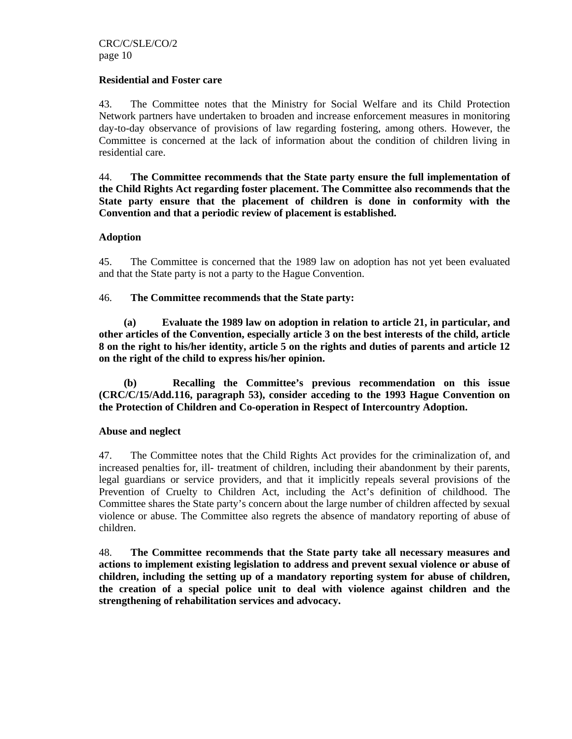#### **Residential and Foster care**

43. The Committee notes that the Ministry for Social Welfare and its Child Protection Network partners have undertaken to broaden and increase enforcement measures in monitoring day-to-day observance of provisions of law regarding fostering, among others. However, the Committee is concerned at the lack of information about the condition of children living in residential care.

44. **The Committee recommends that the State party ensure the full implementation of the Child Rights Act regarding foster placement. The Committee also recommends that the State party ensure that the placement of children is done in conformity with the Convention and that a periodic review of placement is established.** 

#### **Adoption**

45. The Committee is concerned that the 1989 law on adoption has not yet been evaluated and that the State party is not a party to the Hague Convention.

#### 46. **The Committee recommends that the State party:**

**(a) Evaluate the 1989 law on adoption in relation to article 21, in particular, and other articles of the Convention, especially article 3 on the best interests of the child, article 8 on the right to his/her identity, article 5 on the rights and duties of parents and article 12 on the right of the child to express his/her opinion.** 

**(b) Recalling the Committee's previous recommendation on this issue (CRC/C/15/Add.116, paragraph 53), consider acceding to the 1993 Hague Convention on the Protection of Children and Co-operation in Respect of Intercountry Adoption.** 

#### **Abuse and neglect**

47. The Committee notes that the Child Rights Act provides for the criminalization of, and increased penalties for, ill- treatment of children, including their abandonment by their parents, legal guardians or service providers, and that it implicitly repeals several provisions of the Prevention of Cruelty to Children Act, including the Act's definition of childhood. The Committee shares the State party's concern about the large number of children affected by sexual violence or abuse. The Committee also regrets the absence of mandatory reporting of abuse of children.

48. **The Committee recommends that the State party take all necessary measures and actions to implement existing legislation to address and prevent sexual violence or abuse of children, including the setting up of a mandatory reporting system for abuse of children, the creation of a special police unit to deal with violence against children and the strengthening of rehabilitation services and advocacy.**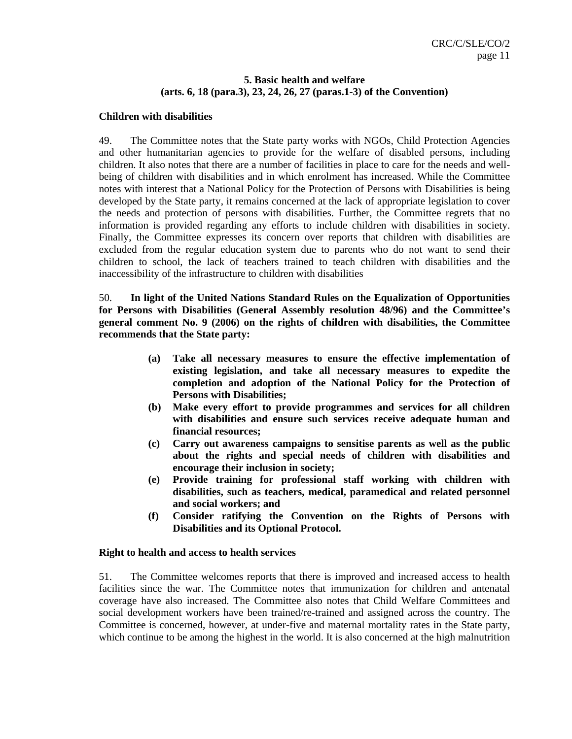# **5. Basic health and welfare (arts. 6, 18 (para.3), 23, 24, 26, 27 (paras.1-3) of the Convention)**

## **Children with disabilities**

49. The Committee notes that the State party works with NGOs, Child Protection Agencies and other humanitarian agencies to provide for the welfare of disabled persons, including children. It also notes that there are a number of facilities in place to care for the needs and wellbeing of children with disabilities and in which enrolment has increased. While the Committee notes with interest that a National Policy for the Protection of Persons with Disabilities is being developed by the State party, it remains concerned at the lack of appropriate legislation to cover the needs and protection of persons with disabilities. Further, the Committee regrets that no information is provided regarding any efforts to include children with disabilities in society. Finally, the Committee expresses its concern over reports that children with disabilities are excluded from the regular education system due to parents who do not want to send their children to school, the lack of teachers trained to teach children with disabilities and the inaccessibility of the infrastructure to children with disabilities

50. **In light of the United Nations Standard Rules on the Equalization of Opportunities for Persons with Disabilities (General Assembly resolution 48/96) and the Committee's general comment No. 9 (2006) on the rights of children with disabilities, the Committee recommends that the State party:** 

- **(a) Take all necessary measures to ensure the effective implementation of existing legislation, and take all necessary measures to expedite the completion and adoption of the National Policy for the Protection of Persons with Disabilities;**
- **(b) Make every effort to provide programmes and services for all children with disabilities and ensure such services receive adequate human and financial resources;**
- **(c) Carry out awareness campaigns to sensitise parents as well as the public about the rights and special needs of children with disabilities and encourage their inclusion in society;**
- **(e) Provide training for professional staff working with children with disabilities, such as teachers, medical, paramedical and related personnel and social workers; and**
- **(f) Consider ratifying the Convention on the Rights of Persons with Disabilities and its Optional Protocol.**

#### **Right to health and access to health services**

51. The Committee welcomes reports that there is improved and increased access to health facilities since the war. The Committee notes that immunization for children and antenatal coverage have also increased. The Committee also notes that Child Welfare Committees and social development workers have been trained/re-trained and assigned across the country. The Committee is concerned, however, at under-five and maternal mortality rates in the State party, which continue to be among the highest in the world. It is also concerned at the high malnutrition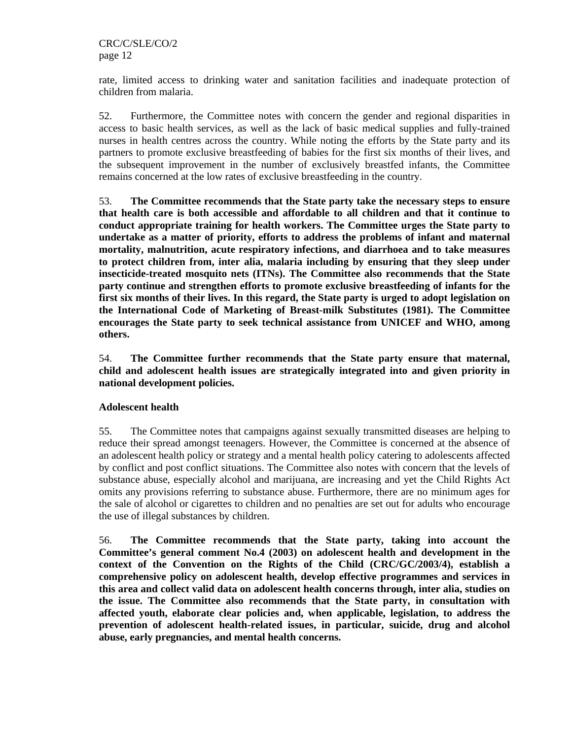rate, limited access to drinking water and sanitation facilities and inadequate protection of children from malaria.

52. Furthermore, the Committee notes with concern the gender and regional disparities in access to basic health services, as well as the lack of basic medical supplies and fully-trained nurses in health centres across the country. While noting the efforts by the State party and its partners to promote exclusive breastfeeding of babies for the first six months of their lives, and the subsequent improvement in the number of exclusively breastfed infants, the Committee remains concerned at the low rates of exclusive breastfeeding in the country.

53. **The Committee recommends that the State party take the necessary steps to ensure that health care is both accessible and affordable to all children and that it continue to conduct appropriate training for health workers. The Committee urges the State party to undertake as a matter of priority, efforts to address the problems of infant and maternal mortality, malnutrition, acute respiratory infections, and diarrhoea and to take measures to protect children from, inter alia, malaria including by ensuring that they sleep under insecticide-treated mosquito nets (ITNs). The Committee also recommends that the State party continue and strengthen efforts to promote exclusive breastfeeding of infants for the first six months of their lives. In this regard, the State party is urged to adopt legislation on the International Code of Marketing of Breast-milk Substitutes (1981). The Committee encourages the State party to seek technical assistance from UNICEF and WHO, among others.** 

54. **The Committee further recommends that the State party ensure that maternal, child and adolescent health issues are strategically integrated into and given priority in national development policies.** 

# **Adolescent health**

55. The Committee notes that campaigns against sexually transmitted diseases are helping to reduce their spread amongst teenagers. However, the Committee is concerned at the absence of an adolescent health policy or strategy and a mental health policy catering to adolescents affected by conflict and post conflict situations. The Committee also notes with concern that the levels of substance abuse, especially alcohol and marijuana, are increasing and yet the Child Rights Act omits any provisions referring to substance abuse. Furthermore, there are no minimum ages for the sale of alcohol or cigarettes to children and no penalties are set out for adults who encourage the use of illegal substances by children.

56. **The Committee recommends that the State party, taking into account the Committee's general comment No.4 (2003) on adolescent health and development in the context of the Convention on the Rights of the Child (CRC/GC/2003/4), establish a comprehensive policy on adolescent health, develop effective programmes and services in this area and collect valid data on adolescent health concerns through, inter alia, studies on the issue. The Committee also recommends that the State party, in consultation with affected youth, elaborate clear policies and, when applicable, legislation, to address the prevention of adolescent health-related issues, in particular, suicide, drug and alcohol abuse, early pregnancies, and mental health concerns.**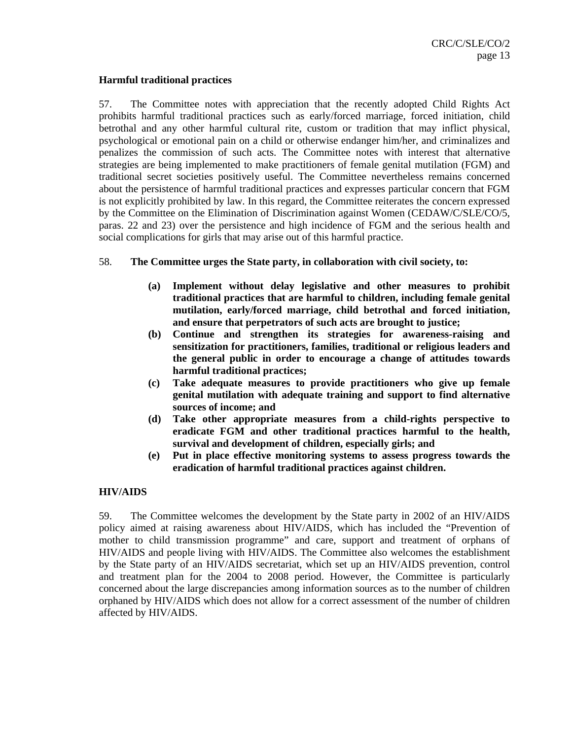#### **Harmful traditional practices**

57. The Committee notes with appreciation that the recently adopted Child Rights Act prohibits harmful traditional practices such as early/forced marriage, forced initiation, child betrothal and any other harmful cultural rite, custom or tradition that may inflict physical, psychological or emotional pain on a child or otherwise endanger him/her, and criminalizes and penalizes the commission of such acts. The Committee notes with interest that alternative strategies are being implemented to make practitioners of female genital mutilation (FGM) and traditional secret societies positively useful. The Committee nevertheless remains concerned about the persistence of harmful traditional practices and expresses particular concern that FGM is not explicitly prohibited by law. In this regard, the Committee reiterates the concern expressed by the Committee on the Elimination of Discrimination against Women (CEDAW/C/SLE/CO/5, paras. 22 and 23) over the persistence and high incidence of FGM and the serious health and social complications for girls that may arise out of this harmful practice.

- 58. **The Committee urges the State party, in collaboration with civil society, to:** 
	- **(a) Implement without delay legislative and other measures to prohibit traditional practices that are harmful to children, including female genital mutilation, early/forced marriage, child betrothal and forced initiation, and ensure that perpetrators of such acts are brought to justice;**
	- **(b) Continue and strengthen its strategies for awareness-raising and sensitization for practitioners, families, traditional or religious leaders and the general public in order to encourage a change of attitudes towards harmful traditional practices;**
	- **(c) Take adequate measures to provide practitioners who give up female genital mutilation with adequate training and support to find alternative sources of income; and**
	- **(d) Take other appropriate measures from a child-rights perspective to eradicate FGM and other traditional practices harmful to the health, survival and development of children, especially girls; and**
	- **(e) Put in place effective monitoring systems to assess progress towards the eradication of harmful traditional practices against children.**

#### **HIV/AIDS**

59. The Committee welcomes the development by the State party in 2002 of an HIV/AIDS policy aimed at raising awareness about HIV/AIDS, which has included the "Prevention of mother to child transmission programme" and care, support and treatment of orphans of HIV/AIDS and people living with HIV/AIDS. The Committee also welcomes the establishment by the State party of an HIV/AIDS secretariat, which set up an HIV/AIDS prevention, control and treatment plan for the 2004 to 2008 period. However, the Committee is particularly concerned about the large discrepancies among information sources as to the number of children orphaned by HIV/AIDS which does not allow for a correct assessment of the number of children affected by HIV/AIDS.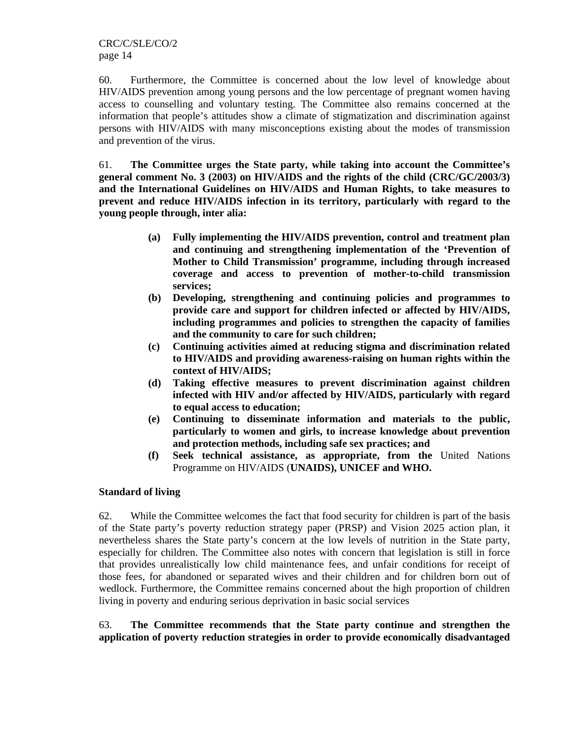60. Furthermore, the Committee is concerned about the low level of knowledge about HIV/AIDS prevention among young persons and the low percentage of pregnant women having access to counselling and voluntary testing. The Committee also remains concerned at the information that people's attitudes show a climate of stigmatization and discrimination against persons with HIV/AIDS with many misconceptions existing about the modes of transmission and prevention of the virus.

61. **The Committee urges the State party, while taking into account the Committee's general comment No. 3 (2003) on HIV/AIDS and the rights of the child (CRC/GC/2003/3) and the International Guidelines on HIV/AIDS and Human Rights, to take measures to prevent and reduce HIV/AIDS infection in its territory, particularly with regard to the young people through, inter alia:** 

- **(a) Fully implementing the HIV/AIDS prevention, control and treatment plan and continuing and strengthening implementation of the 'Prevention of Mother to Child Transmission' programme, including through increased coverage and access to prevention of mother-to-child transmission services;**
- **(b) Developing, strengthening and continuing policies and programmes to provide care and support for children infected or affected by HIV/AIDS, including programmes and policies to strengthen the capacity of families and the community to care for such children;**
- **(c) Continuing activities aimed at reducing stigma and discrimination related to HIV/AIDS and providing awareness-raising on human rights within the context of HIV/AIDS;**
- **(d) Taking effective measures to prevent discrimination against children infected with HIV and/or affected by HIV/AIDS, particularly with regard to equal access to education;**
- **(e) Continuing to disseminate information and materials to the public, particularly to women and girls, to increase knowledge about prevention and protection methods, including safe sex practices; and**
- **(f) Seek technical assistance, as appropriate, from the** United Nations Programme on HIV/AIDS (**UNAIDS), UNICEF and WHO.**

# **Standard of living**

62. While the Committee welcomes the fact that food security for children is part of the basis of the State party's poverty reduction strategy paper (PRSP) and Vision 2025 action plan, it nevertheless shares the State party's concern at the low levels of nutrition in the State party, especially for children. The Committee also notes with concern that legislation is still in force that provides unrealistically low child maintenance fees, and unfair conditions for receipt of those fees, for abandoned or separated wives and their children and for children born out of wedlock. Furthermore, the Committee remains concerned about the high proportion of children living in poverty and enduring serious deprivation in basic social services

63. **The Committee recommends that the State party continue and strengthen the application of poverty reduction strategies in order to provide economically disadvantaged**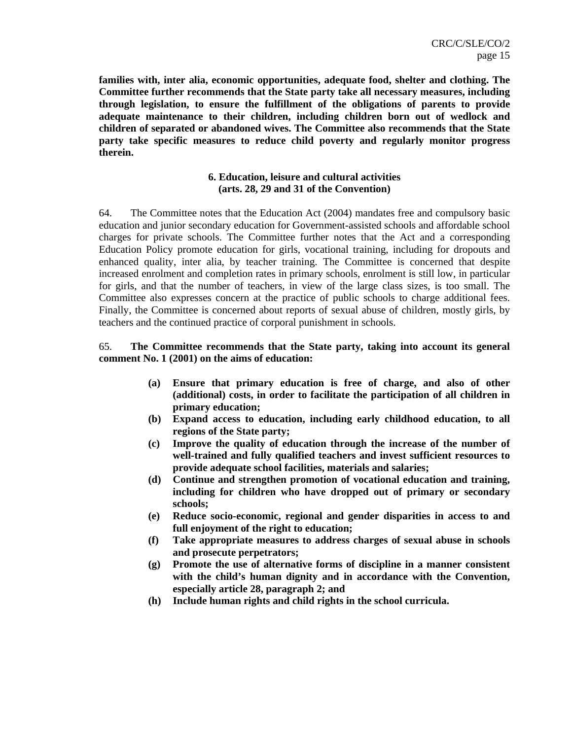**families with, inter alia, economic opportunities, adequate food, shelter and clothing. The Committee further recommends that the State party take all necessary measures, including through legislation, to ensure the fulfillment of the obligations of parents to provide adequate maintenance to their children, including children born out of wedlock and children of separated or abandoned wives. The Committee also recommends that the State party take specific measures to reduce child poverty and regularly monitor progress therein.** 

## **6. Education, leisure and cultural activities (arts. 28, 29 and 31 of the Convention)**

64. The Committee notes that the Education Act (2004) mandates free and compulsory basic education and junior secondary education for Government-assisted schools and affordable school charges for private schools. The Committee further notes that the Act and a corresponding Education Policy promote education for girls, vocational training, including for dropouts and enhanced quality, inter alia, by teacher training. The Committee is concerned that despite increased enrolment and completion rates in primary schools, enrolment is still low, in particular for girls, and that the number of teachers, in view of the large class sizes, is too small. The Committee also expresses concern at the practice of public schools to charge additional fees. Finally, the Committee is concerned about reports of sexual abuse of children, mostly girls, by teachers and the continued practice of corporal punishment in schools.

# 65. **The Committee recommends that the State party, taking into account its general comment No. 1 (2001) on the aims of education:**

- **(a) Ensure that primary education is free of charge, and also of other (additional) costs, in order to facilitate the participation of all children in primary education;**
- **(b) Expand access to education, including early childhood education, to all regions of the State party;**
- **(c) Improve the quality of education through the increase of the number of well-trained and fully qualified teachers and invest sufficient resources to provide adequate school facilities, materials and salaries;**
- **(d) Continue and strengthen promotion of vocational education and training, including for children who have dropped out of primary or secondary schools;**
- **(e) Reduce socio-economic, regional and gender disparities in access to and full enjoyment of the right to education;**
- **(f) Take appropriate measures to address charges of sexual abuse in schools and prosecute perpetrators;**
- **(g) Promote the use of alternative forms of discipline in a manner consistent with the child's human dignity and in accordance with the Convention, especially article 28, paragraph 2; and**
- **(h) Include human rights and child rights in the school curricula.**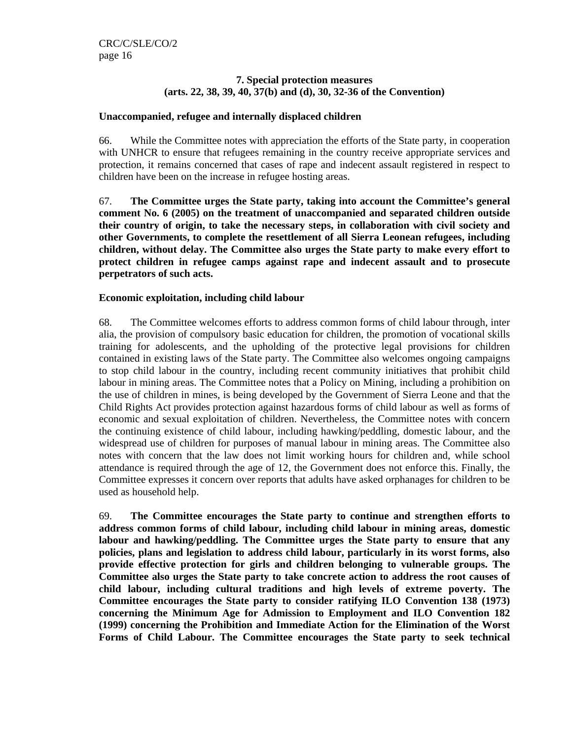# **7. Special protection measures (arts. 22, 38, 39, 40, 37(b) and (d), 30, 32-36 of the Convention)**

## **Unaccompanied, refugee and internally displaced children**

66. While the Committee notes with appreciation the efforts of the State party, in cooperation with UNHCR to ensure that refugees remaining in the country receive appropriate services and protection, it remains concerned that cases of rape and indecent assault registered in respect to children have been on the increase in refugee hosting areas.

67. **The Committee urges the State party, taking into account the Committee's general comment No. 6 (2005) on the treatment of unaccompanied and separated children outside their country of origin, to take the necessary steps, in collaboration with civil society and other Governments, to complete the resettlement of all Sierra Leonean refugees, including children, without delay. The Committee also urges the State party to make every effort to protect children in refugee camps against rape and indecent assault and to prosecute perpetrators of such acts.** 

## **Economic exploitation, including child labour**

68. The Committee welcomes efforts to address common forms of child labour through, inter alia, the provision of compulsory basic education for children, the promotion of vocational skills training for adolescents, and the upholding of the protective legal provisions for children contained in existing laws of the State party. The Committee also welcomes ongoing campaigns to stop child labour in the country, including recent community initiatives that prohibit child labour in mining areas. The Committee notes that a Policy on Mining, including a prohibition on the use of children in mines, is being developed by the Government of Sierra Leone and that the Child Rights Act provides protection against hazardous forms of child labour as well as forms of economic and sexual exploitation of children. Nevertheless, the Committee notes with concern the continuing existence of child labour, including hawking/peddling, domestic labour, and the widespread use of children for purposes of manual labour in mining areas. The Committee also notes with concern that the law does not limit working hours for children and, while school attendance is required through the age of 12, the Government does not enforce this. Finally, the Committee expresses it concern over reports that adults have asked orphanages for children to be used as household help.

69. **The Committee encourages the State party to continue and strengthen efforts to address common forms of child labour, including child labour in mining areas, domestic labour and hawking/peddling. The Committee urges the State party to ensure that any policies, plans and legislation to address child labour, particularly in its worst forms, also provide effective protection for girls and children belonging to vulnerable groups. The Committee also urges the State party to take concrete action to address the root causes of child labour, including cultural traditions and high levels of extreme poverty. The Committee encourages the State party to consider ratifying ILO Convention 138 (1973) concerning the Minimum Age for Admission to Employment and ILO Convention 182 (1999) concerning the Prohibition and Immediate Action for the Elimination of the Worst Forms of Child Labour. The Committee encourages the State party to seek technical**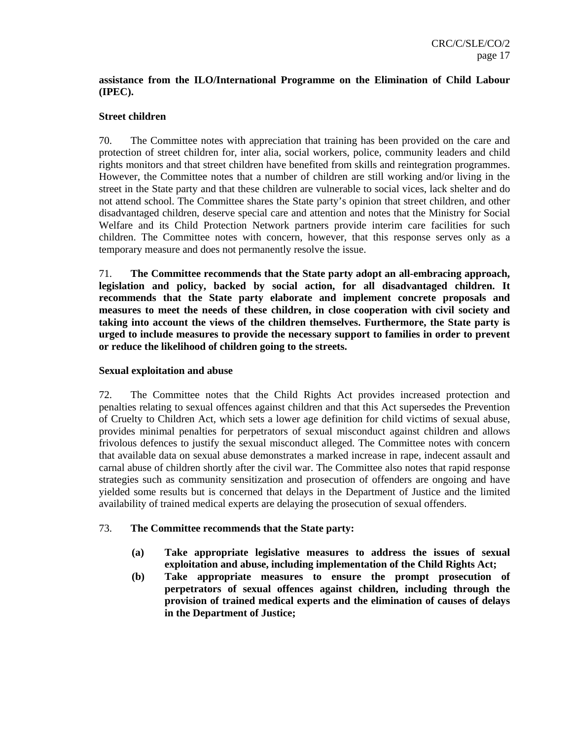# **assistance from the ILO/International Programme on the Elimination of Child Labour (IPEC).**

# **Street children**

70. The Committee notes with appreciation that training has been provided on the care and protection of street children for, inter alia, social workers, police, community leaders and child rights monitors and that street children have benefited from skills and reintegration programmes. However, the Committee notes that a number of children are still working and/or living in the street in the State party and that these children are vulnerable to social vices, lack shelter and do not attend school. The Committee shares the State party's opinion that street children, and other disadvantaged children, deserve special care and attention and notes that the Ministry for Social Welfare and its Child Protection Network partners provide interim care facilities for such children. The Committee notes with concern, however, that this response serves only as a temporary measure and does not permanently resolve the issue.

71. **The Committee recommends that the State party adopt an all-embracing approach, legislation and policy, backed by social action, for all disadvantaged children. It recommends that the State party elaborate and implement concrete proposals and measures to meet the needs of these children, in close cooperation with civil society and taking into account the views of the children themselves. Furthermore, the State party is urged to include measures to provide the necessary support to families in order to prevent or reduce the likelihood of children going to the streets.** 

## **Sexual exploitation and abuse**

72. The Committee notes that the Child Rights Act provides increased protection and penalties relating to sexual offences against children and that this Act supersedes the Prevention of Cruelty to Children Act, which sets a lower age definition for child victims of sexual abuse, provides minimal penalties for perpetrators of sexual misconduct against children and allows frivolous defences to justify the sexual misconduct alleged. The Committee notes with concern that available data on sexual abuse demonstrates a marked increase in rape, indecent assault and carnal abuse of children shortly after the civil war. The Committee also notes that rapid response strategies such as community sensitization and prosecution of offenders are ongoing and have yielded some results but is concerned that delays in the Department of Justice and the limited availability of trained medical experts are delaying the prosecution of sexual offenders.

# 73. **The Committee recommends that the State party:**

- **(a) Take appropriate legislative measures to address the issues of sexual exploitation and abuse, including implementation of the Child Rights Act;**
- **(b) Take appropriate measures to ensure the prompt prosecution of perpetrators of sexual offences against children, including through the provision of trained medical experts and the elimination of causes of delays in the Department of Justice;**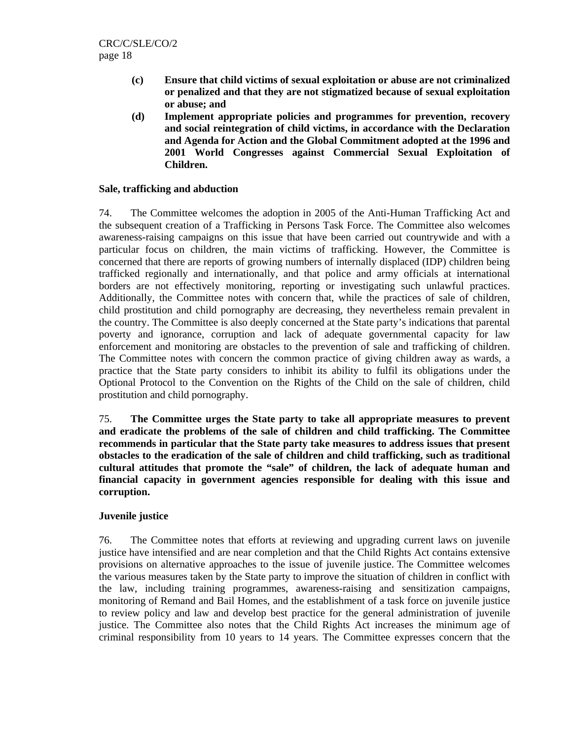- **(c) Ensure that child victims of sexual exploitation or abuse are not criminalized or penalized and that they are not stigmatized because of sexual exploitation or abuse; and**
- **(d) Implement appropriate policies and programmes for prevention, recovery and social reintegration of child victims, in accordance with the Declaration and Agenda for Action and the Global Commitment adopted at the 1996 and 2001 World Congresses against Commercial Sexual Exploitation of Children.**

#### **Sale, trafficking and abduction**

74. The Committee welcomes the adoption in 2005 of the Anti-Human Trafficking Act and the subsequent creation of a Trafficking in Persons Task Force. The Committee also welcomes awareness-raising campaigns on this issue that have been carried out countrywide and with a particular focus on children, the main victims of trafficking. However, the Committee is concerned that there are reports of growing numbers of internally displaced (IDP) children being trafficked regionally and internationally, and that police and army officials at international borders are not effectively monitoring, reporting or investigating such unlawful practices. Additionally, the Committee notes with concern that, while the practices of sale of children, child prostitution and child pornography are decreasing, they nevertheless remain prevalent in the country. The Committee is also deeply concerned at the State party's indications that parental poverty and ignorance, corruption and lack of adequate governmental capacity for law enforcement and monitoring are obstacles to the prevention of sale and trafficking of children. The Committee notes with concern the common practice of giving children away as wards, a practice that the State party considers to inhibit its ability to fulfil its obligations under the Optional Protocol to the Convention on the Rights of the Child on the sale of children, child prostitution and child pornography.

75. **The Committee urges the State party to take all appropriate measures to prevent and eradicate the problems of the sale of children and child trafficking. The Committee recommends in particular that the State party take measures to address issues that present obstacles to the eradication of the sale of children and child trafficking, such as traditional cultural attitudes that promote the "sale" of children, the lack of adequate human and financial capacity in government agencies responsible for dealing with this issue and corruption.** 

#### **Juvenile justice**

76. The Committee notes that efforts at reviewing and upgrading current laws on juvenile justice have intensified and are near completion and that the Child Rights Act contains extensive provisions on alternative approaches to the issue of juvenile justice. The Committee welcomes the various measures taken by the State party to improve the situation of children in conflict with the law, including training programmes, awareness-raising and sensitization campaigns, monitoring of Remand and Bail Homes, and the establishment of a task force on juvenile justice to review policy and law and develop best practice for the general administration of juvenile justice. The Committee also notes that the Child Rights Act increases the minimum age of criminal responsibility from 10 years to 14 years. The Committee expresses concern that the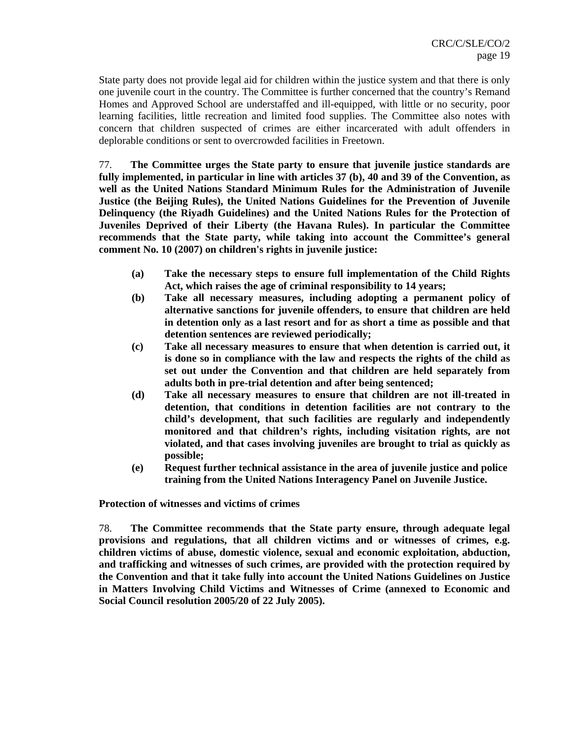State party does not provide legal aid for children within the justice system and that there is only one juvenile court in the country. The Committee is further concerned that the country's Remand Homes and Approved School are understaffed and ill-equipped, with little or no security, poor learning facilities, little recreation and limited food supplies. The Committee also notes with concern that children suspected of crimes are either incarcerated with adult offenders in deplorable conditions or sent to overcrowded facilities in Freetown.

77. **The Committee urges the State party to ensure that juvenile justice standards are fully implemented, in particular in line with articles 37 (b), 40 and 39 of the Convention, as well as the United Nations Standard Minimum Rules for the Administration of Juvenile Justice (the Beijing Rules), the United Nations Guidelines for the Prevention of Juvenile Delinquency (the Riyadh Guidelines) and the United Nations Rules for the Protection of Juveniles Deprived of their Liberty (the Havana Rules). In particular the Committee recommends that the State party, while taking into account the Committee's general comment No. 10 (2007) on children's rights in juvenile justice:** 

- **(a) Take the necessary steps to ensure full implementation of the Child Rights Act, which raises the age of criminal responsibility to 14 years;**
- **(b) Take all necessary measures, including adopting a permanent policy of alternative sanctions for juvenile offenders, to ensure that children are held in detention only as a last resort and for as short a time as possible and that detention sentences are reviewed periodically;**
- **(c) Take all necessary measures to ensure that when detention is carried out, it is done so in compliance with the law and respects the rights of the child as set out under the Convention and that children are held separately from adults both in pre-trial detention and after being sentenced;**
- **(d) Take all necessary measures to ensure that children are not ill-treated in detention, that conditions in detention facilities are not contrary to the child's development, that such facilities are regularly and independently monitored and that children's rights, including visitation rights, are not violated, and that cases involving juveniles are brought to trial as quickly as possible;**
- **(e) Request further technical assistance in the area of juvenile justice and police training from the United Nations Interagency Panel on Juvenile Justice.**

**Protection of witnesses and victims of crimes** 

78. **The Committee recommends that the State party ensure, through adequate legal provisions and regulations, that all children victims and or witnesses of crimes, e.g. children victims of abuse, domestic violence, sexual and economic exploitation, abduction, and trafficking and witnesses of such crimes, are provided with the protection required by the Convention and that it take fully into account the United Nations Guidelines on Justice in Matters Involving Child Victims and Witnesses of Crime (annexed to Economic and Social Council resolution 2005/20 of 22 July 2005).**